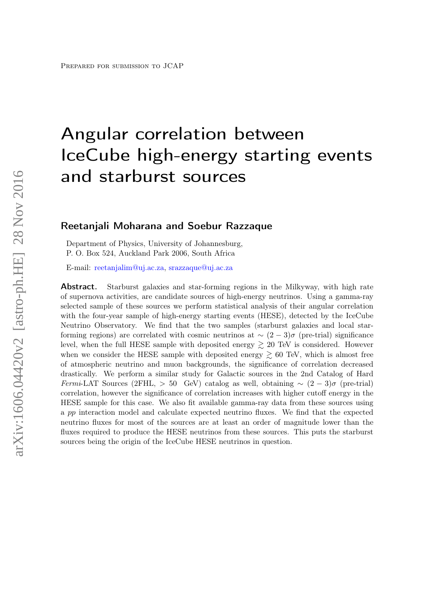# Angular correlation between IceCube high-energy starting events and starburst sources

## Reetanjali Moharana and Soebur Razzaque

Department of Physics, University of Johannesburg, P. O. Box 524, Auckland Park 2006, South Africa

E-mail: [reetanjalim@uj.ac.za,](mailto:reetanjalim@uj.ac.za) [srazzaque@uj.ac.za](mailto:srazzaque@uj.ac.za)

Abstract. Starburst galaxies and star-forming regions in the Milkyway, with high rate of supernova activities, are candidate sources of high-energy neutrinos. Using a gamma-ray selected sample of these sources we perform statistical analysis of their angular correlation with the four-year sample of high-energy starting events (HESE), detected by the IceCube Neutrino Observatory. We find that the two samples (starburst galaxies and local starforming regions) are correlated with cosmic neutrinos at  $\sim (2-3)\sigma$  (pre-trial) significance level, when the full HESE sample with deposited energy  $\gtrsim$  20 TeV is considered. However when we consider the HESE sample with deposited energy  $\geq 60$  TeV, which is almost free of atmospheric neutrino and muon backgrounds, the significance of correlation decreased drastically. We perform a similar study for Galactic sources in the 2nd Catalog of Hard Fermi-LAT Sources (2FHL, > 50 GeV) catalog as well, obtaining  $\sim (2-3)\sigma$  (pre-trial) correlation, however the significance of correlation increases with higher cutoff energy in the HESE sample for this case. We also fit available gamma-ray data from these sources using a pp interaction model and calculate expected neutrino fluxes. We find that the expected neutrino fluxes for most of the sources are at least an order of magnitude lower than the fluxes required to produce the HESE neutrinos from these sources. This puts the starburst sources being the origin of the IceCube HESE neutrinos in question.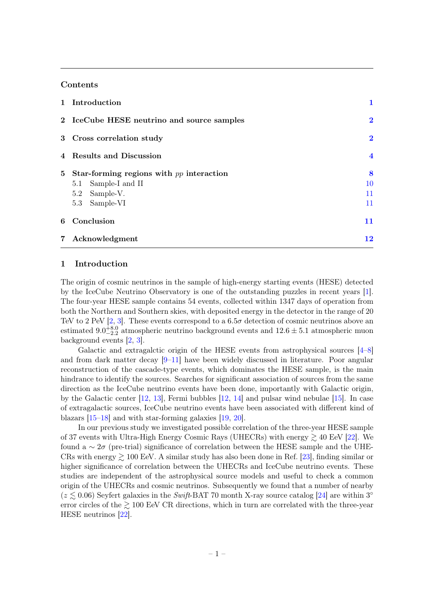#### Contents

| 1 Introduction                               | 1                       |
|----------------------------------------------|-------------------------|
| 2 IceCube HESE neutrino and source samples   | $\overline{\mathbf{2}}$ |
| 3 Cross correlation study                    | $\bf{2}$                |
| 4 Results and Discussion                     | $\overline{\mathbf{4}}$ |
| 5 Star-forming regions with $pp$ interaction | 8                       |
| 5.1 Sample-I and II                          | 10                      |
| 5.2 Sample-V.                                | 11                      |
| 5.3 Sample-VI                                | 11                      |
| 6 Conclusion                                 | 11                      |
| 7 Acknowledgment                             | 12                      |

### <span id="page-1-0"></span>1 Introduction

The origin of cosmic neutrinos in the sample of high-energy starting events (HESE) detected by the IceCube Neutrino Observatory is one of the outstanding puzzles in recent years [\[1\]](#page-12-1). The four-year HESE sample contains 54 events, collected within 1347 days of operation from both the Northern and Southern skies, with deposited energy in the detector in the range of 20 TeV to 2 PeV  $[2, 3]$  $[2, 3]$ . These events correspond to a 6.5 $\sigma$  detection of cosmic neutrinos above an estimated  $9.0_{-2.2}^{+8.0}$  atmospheric neutrino background events and  $12.6 \pm 5.1$  atmospheric muon background events [\[2,](#page-12-2) [3\]](#page-12-3).

Galactic and extragalctic origin of the HESE events from astrophysical sources [\[4](#page-12-4)[–8\]](#page-12-5) and from dark matter decay [\[9–](#page-12-6)[11\]](#page-13-0) have been widely discussed in literature. Poor angular reconstruction of the cascade-type events, which dominates the HESE sample, is the main hindrance to identify the sources. Searches for significant association of sources from the same direction as the IceCube neutrino events have been done, importantly with Galactic origin, by the Galactic center [\[12,](#page-13-1) [13\]](#page-13-2), Fermi bubbles [\[12,](#page-13-1) [14\]](#page-13-3) and pulsar wind nebulae [\[15\]](#page-13-4). In case of extragalactic sources, IceCube neutrino events have been associated with different kind of blazars [\[15–](#page-13-4)[18\]](#page-13-5) and with star-forming galaxies [\[19,](#page-13-6) [20\]](#page-13-7).

In our previous study we investigated possible correlation of the three-year HESE sample of 37 events with Ultra-High Energy Cosmic Rays (UHECRs) with energy  $\geq 40$  EeV [\[22\]](#page-13-8). We found a  $\sim 2\sigma$  (pre-trial) significance of correlation between the HESE sample and the UHE-CRs with energy  $\geq 100$  EeV. A similar study has also been done in Ref. [\[23\]](#page-13-9), finding similar or higher significance of correlation between the UHECRs and IceCube neutrino events. These studies are independent of the astrophysical source models and useful to check a common origin of the UHECRs and cosmic neutrinos. Subsequently we found that a number of nearby  $(z \lesssim 0.06)$  Seyfert galaxies in the Swift-BAT 70 month X-ray source catalog [\[24\]](#page-13-10) are within 3° error circles of the  $\geq 100$  EeV CR directions, which in turn are correlated with the three-year HESE neutrinos [\[22\]](#page-13-8).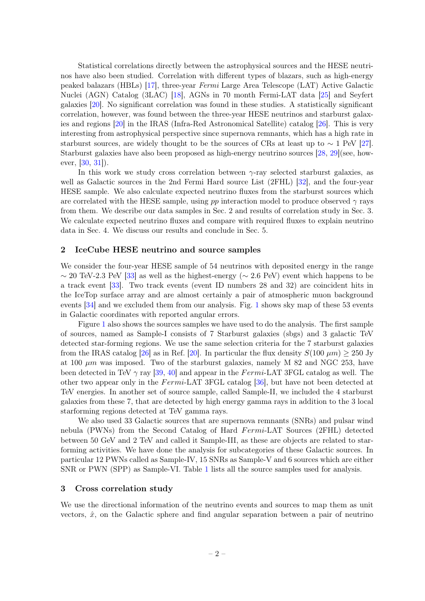Statistical correlations directly between the astrophysical sources and the HESE neutrinos have also been studied. Correlation with different types of blazars, such as high-energy peaked balazars (HBLs) [\[17\]](#page-13-11), three-year Fermi Large Area Telescope (LAT) Active Galactic Nuclei (AGN) Catalog (3LAC) [\[18\]](#page-13-5), AGNs in 70 month Fermi-LAT data [\[25\]](#page-13-12) and Seyfert galaxies [\[20\]](#page-13-7). No significant correlation was found in these studies. A statistically significant correlation, however, was found between the three-year HESE neutrinos and starburst galaxies and regions [\[20\]](#page-13-7) in the IRAS (Infra-Red Astronomical Satellite) catalog [\[26\]](#page-13-13). This is very interesting from astrophysical perspective since supernova remnants, which has a high rate in starburst sources, are widely thought to be the sources of CRs at least up to  $\sim 1$  PeV [\[27\]](#page-13-14). Starburst galaxies have also been proposed as high-energy neutrino sources [\[28,](#page-13-15) [29\]](#page-13-16)(see, however, [\[30,](#page-13-17) [31\]](#page-13-18)).

In this work we study cross correlation between  $\gamma$ -ray selected starburst galaxies, as well as Galactic sources in the 2nd Fermi Hard source List (2FHL) [\[32\]](#page-13-19), and the four-year HESE sample. We also calculate expected neutrino fluxes from the starburst sources which are correlated with the HESE sample, using pp interaction model to produce observed  $\gamma$  rays from them. We describe our data samples in Sec. 2 and results of correlation study in Sec. 3. We calculate expected neutrino fluxes and compare with required fluxes to explain neutrino data in Sec. 4. We discuss our results and conclude in Sec. 5.

#### <span id="page-2-0"></span>2 IceCube HESE neutrino and source samples

We consider the four-year HESE sample of 54 neutrinos with deposited energy in the range  $\sim$  20 TeV-2.3 PeV [\[33\]](#page-13-20) as well as the highest-energy ( $\sim$  2.6 PeV) event which happens to be a track event [\[33\]](#page-13-20). Two track events (event ID numbers 28 and 32) are coincident hits in the IceTop surface array and are almost certainly a pair of atmospheric muon background events [\[34\]](#page-13-21) and we excluded them from our analysis. Fig. [1](#page-3-0) shows sky map of these 53 events in Galactic coordinates with reported angular errors.

Figure [1](#page-3-0) also shows the sources samples we have used to do the analysis. The first sample of sources, named as Sample-I consists of 7 Starburst galaxies (sbgs) and 3 galactic TeV detected star-forming regions. We use the same selection criteria for the 7 starburst galaxies from the IRAS catalog [\[26\]](#page-13-13) as in Ref. [\[20\]](#page-13-7). In particular the flux density  $S(100 \ \mu m) \ge 250 \ \text{Jy}$ at 100  $\mu$ m was imposed. Two of the starburst galaxies, namely M 82 and NGC 253, have been detected in TeV  $\gamma$  ray [\[39,](#page-14-0) [40\]](#page-14-1) and appear in the Fermi-LAT 3FGL catalog as well. The other two appear only in the Fermi-LAT 3FGL catalog [\[36\]](#page-13-22), but have not been detected at TeV energies. In another set of source sample, called Sample-II, we included the 4 starburst galaxies from these 7, that are detected by high energy gamma rays in addition to the 3 local starforming regions detected at TeV gamma rays.

We also used 33 Galactic sources that are supernova remnants (SNRs) and pulsar wind nebula (PWNs) from the Second Catalog of Hard Fermi-LAT Sources (2FHL) detected between 50 GeV and 2 TeV and called it Sample-III, as these are objects are related to starforming activities. We have done the analysis for subcategories of these Galactic sources. In particular 12 PWNs called as Sample-IV, 15 SNRs as Sample-V and 6 sources which are either SNR or PWN (SPP) as Sample-VI. Table [1](#page-3-1) lists all the source samples used for analysis.

### <span id="page-2-1"></span>3 Cross correlation study

We use the directional information of the neutrino events and sources to map them as unit vectors,  $\hat{x}$ , on the Galactic sphere and find angular separation between a pair of neutrino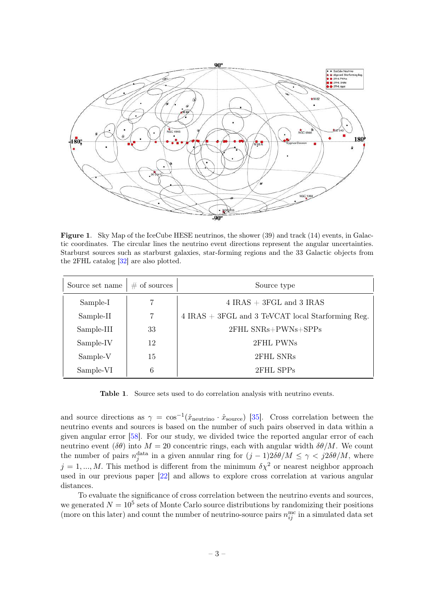

<span id="page-3-0"></span>Figure 1. Sky Map of the IceCube HESE neutrinos, the shower (39) and track (14) events, in Galactic coordinates. The circular lines the neutrino event directions represent the angular uncertainties. Starburst sources such as starburst galaxies, star-forming regions and the 33 Galactic objects from the 2FHL catalog [\[32\]](#page-13-19) are also plotted.

| Source set name | $\#$ of sources | Source type                                           |
|-----------------|-----------------|-------------------------------------------------------|
| Sample-I        |                 | $4$ IRAS $+$ 3FGL and 3 IRAS                          |
| Sample-II       |                 | $4$ IRAS $+$ 3FGL and 3 TeVCAT local Starforming Reg. |
| Sample-III      | 33              | 2FHL SNRs+PWNs+SPPs                                   |
| Sample-IV       | 12              | 2FHL PWNs                                             |
| Sample-V        | 15              | 2FHL SNRs                                             |
| Sample-VI       | 6               | 2FHL SPPs                                             |

<span id="page-3-1"></span>Table 1. Source sets used to do correlation analysis with neutrino events.

and source directions as  $\gamma = \cos^{-1}(\hat{x}_{\text{neutrino}} \cdot \hat{x}_{\text{source}})$  [\[35\]](#page-13-23). Cross correlation between the neutrino events and sources is based on the number of such pairs observed in data within a given angular error [\[58\]](#page-14-2). For our study, we divided twice the reported angular error of each neutrino event ( $\delta\theta$ ) into  $M = 20$  concentric rings, each with angular width  $\delta\theta/M$ . We count the number of pairs  $n_j^{\text{data}}$  in a given annular ring for  $(j-1)2\delta\theta/M \leq \gamma < j2\delta\theta/M$ , where  $j = 1, ..., M$ . This method is different from the minimum  $\delta \chi^2$  or nearest neighbor approach used in our previous paper [\[22\]](#page-13-8) and allows to explore cross correlation at various angular distances.

To evaluate the significance of cross correlation between the neutrino events and sources, we generated  $N = 10^5$  sets of Monte Carlo source distributions by randomizing their positions (more on this later) and count the number of neutrino-source pairs  $n_{ij}^{\text{mc}}$  in a simulated data set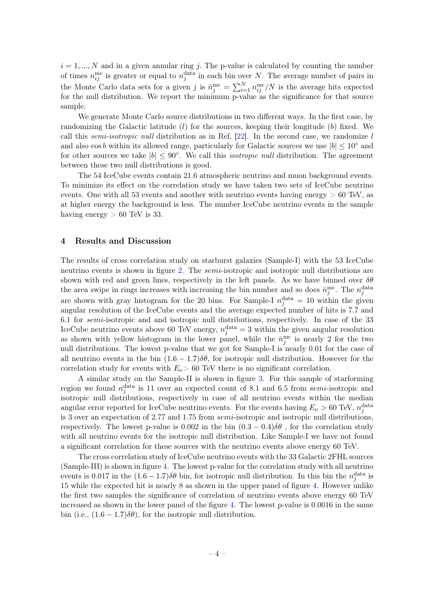$i = 1, ..., N$  and in a given annular ring j. The p-value is calculated by counting the number of times  $n_{ij}^{\text{mc}}$  is greater or equal to  $n_j^{\text{data}}$  in each bin over N. The average number of pairs in the Monte Carlo data sets for a given j is  $\bar{n}_j^{\text{mc}} = \sum_{i=1}^N n_{ij}^{\text{mc}}/N$  is the average hits expected for the null distribution. We report the minimum p-value as the significance for that source sample.

We generate Monte Carlo source distributions in two different ways. In the first case, by randomizing the Galactic latitude  $(l)$  for the sources, keeping their longitude  $(b)$  fixed. We call this *semi-isotropic null* distribution as in Ref.  $[22]$ . In the second case, we randomize l and also cos b within its allowed range, particularly for Galactic sources we use  $|b| \leq 10^{\circ}$  and for other sources we take  $|b| \leq 90^{\circ}$ . We call this *isotropic null* distribution. The agreement between these two null distributions is good.

The 54 IceCube events contain 21.6 atmospheric neutrino and muon background events. To minimize its effect on the correlation study we have taken two sets of IceCube neutrino events. One with all 53 events and another with neutrino events having energy > 60 TeV, as at higher energy the background is less. The number IceCube neutrino events in the sample having energy  $> 60$  TeV is 33.

## <span id="page-4-0"></span>4 Results and Discussion

The results of cross correlation study on starburst galaxies (Sample-I) with the 53 IceCube neutrino events is shown in figure [2.](#page-5-0) The *semi*-isotropic and isotropic null distributions are shown with red and green lines, respectively in the left panels. As we have binned over  $\delta\theta$ the area swipe in rings increases with increasing the bin number and so does  $\bar{n}_j^{\text{mc}}$ . The  $n_j^{\text{data}}$ are shown with gray histogram for the 20 bins. For Sample-I  $n_j^{\text{data}} = 10$  within the given angular resolution of the IceCube events and the average expected number of hits is 7.7 and 6.1 for semi-isotropic and and isotropic null distributions, respectively. In case of the 33 IceCube neutrino events above 60 TeV energy,  $n_j^{\text{data}} = 3$  within the given angular resolution as shown with yellow histogram in the lower panel, while the  $\bar{n}_j^{\text{mc}}$  is nearly 2 for the two null distributions. The lowest p-value that we got for Sample-I is nearly 0.01 for the case of all neutrino events in the bin  $(1.6 - 1.7)\delta\theta$ , for isotropic null distribution. However for the correlation study for events with  $E_{\nu}$  > 60 TeV there is no significant correlation.

A similar study on the Sample-II is shown in figure [3.](#page-6-0) For this sample of starforming region we found  $n_j^{\text{data}}$  is 11 over an expected count of 8.1 and 6.5 from semi-isotropic and isotropic null distributions, respectively in case of all neutrino events within the median angular error reported for IceCube neutrino events. For the events having  $E_{\nu} > 60$  TeV,  $n_j^{\text{data}}$ is 3 over an expectation of 2.77 and 1.75 from semi-isotropic and isotropic null distributions, respectively. The lowest p-value is 0.002 in the bin  $(0.3 - 0.4)\delta\theta$ , for the correlation study with all neutrino events for the isotropic null distribution. Like Sample-I we have not found a significant correlation for these sources with the neutrino events above energy 60 TeV.

The cross correlation study of IceCube neutrino events with the 33 Galactic 2FHL sources (Sample-III) is shown in figure [4.](#page-7-0) The lowest p-value for the correlation study with all neutrino events is 0.017 in the  $(1.6 - 1.7)\delta\theta$  bin, for isotropic null distribution. In this bin the  $n_j^{\text{data}}$  is 15 while the expected hit is nearly 8 as shown in the upper panel of figure [4.](#page-7-0) However unlike the first two samples the significance of correlation of neutrino events above energy 60 TeV increased as shown in the lower panel of the figure [4.](#page-7-0) The lowest p-value is 0.0016 in the same bin (i.e.,  $(1.6 - 1.7)\delta\theta$ ), for the isotropic null distribution.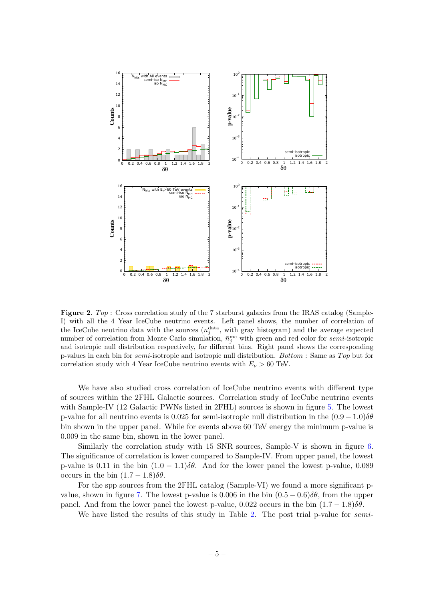

<span id="page-5-0"></span>**Figure 2.** Top: Cross correlation study of the 7 starburst galaxies from the IRAS catalog (Sample-I) with all the 4 Year IceCube neutrino events. Left panel shows, the number of correlation of the IceCube neutrino data with the sources  $(n_j^{\text{data}}, \text{ with gray histogram})$  and the average expected number of correlation from Monte Carlo simulation,  $\bar{n}_j^{\text{mc}}$  with green and red color for semi-isotropic and isotropic null distribution respectively, for different bins. Right panel shows the corresponding p-values in each bin for *semi*-isotropic and isotropic null distribution. Bottom : Same as Top but for correlation study with 4 Year IceCube neutrino events with  $E_{\nu} > 60$  TeV.

We have also studied cross correlation of IceCube neutrino events with different type of sources within the 2FHL Galactic sources. Correlation study of IceCube neutrino events with Sample-IV (12 Galactic PWNs listed in 2FHL) sources is shown in figure [5.](#page-8-1) The lowest p-value for all neutrino events is 0.025 for semi-isotropic null distribution in the  $(0.9-1.0)\delta\theta$ bin shown in the upper panel. While for events above 60 TeV energy the minimum p-value is 0.009 in the same bin, shown in the lower panel.

Similarly the correlation study with 15 SNR sources, Sample-V is shown in figure [6.](#page-9-0) The significance of correlation is lower compared to Sample-IV. From upper panel, the lowest p-value is 0.11 in the bin  $(1.0 - 1.1)\delta\theta$ . And for the lower panel the lowest p-value, 0.089 occurs in the bin  $(1.7 - 1.8)\delta\theta$ .

For the spp sources from the 2FHL catalog (Sample-VI) we found a more significant p-value, shown in figure [7.](#page-10-1) The lowest p-value is 0.006 in the bin  $(0.5 - 0.6)\delta\theta$ , from the upper panel. And from the lower panel the lowest p-value, 0.022 occurs in the bin  $(1.7 - 1.8)\delta\theta$ .

We have listed the results of this study in Table [2.](#page-7-1) The post trial p-value for *semi-*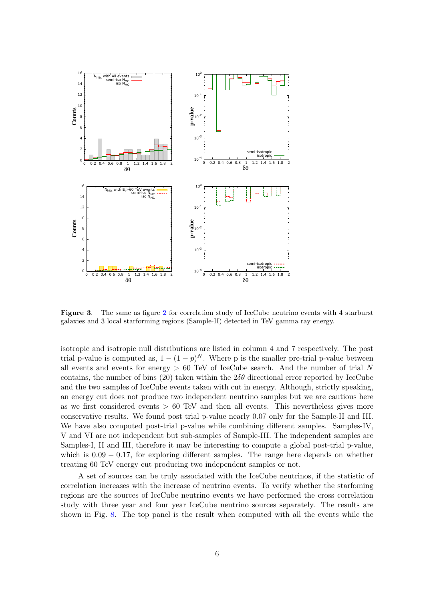

<span id="page-6-0"></span>Figure 3. The same as figure [2](#page-5-0) for correlation study of IceCube neutrino events with 4 starburst galaxies and 3 local starforming regions (Sample-II) detected in TeV gamma ray energy.

isotropic and isotropic null distributions are listed in column 4 and 7 respectively. The post trial p-value is computed as,  $1 - (1 - p)^N$ . Where p is the smaller pre-trial p-value between all events and events for energy  $> 60$  TeV of IceCube search. And the number of trial N contains, the number of bins (20) taken within the  $2\delta\theta$  directional error reported by IceCube and the two samples of IceCube events taken with cut in energy. Although, strictly speaking, an energy cut does not produce two independent neutrino samples but we are cautious here as we first considered events  $> 60$  TeV and then all events. This nevertheless gives more conservative results. We found post trial p-value nearly 0.07 only for the Sample-II and III. We have also computed post-trial p-value while combining different samples. Samples-IV, V and VI are not independent but sub-samples of Sample-III. The independent samples are Samples-I, II and III, therefore it may be interesting to compute a global post-trial p-value, which is  $0.09 - 0.17$ , for exploring different samples. The range here depends on whether treating 60 TeV energy cut producing two independent samples or not.

A set of sources can be truly associated with the IceCube neutrinos, if the statistic of correlation increases with the increase of neutrino events. To verify whether the starfoming regions are the sources of IceCube neutrino events we have performed the cross correlation study with three year and four year IceCube neutrino sources separately. The results are shown in Fig. [8.](#page-16-0) The top panel is the result when computed with all the events while the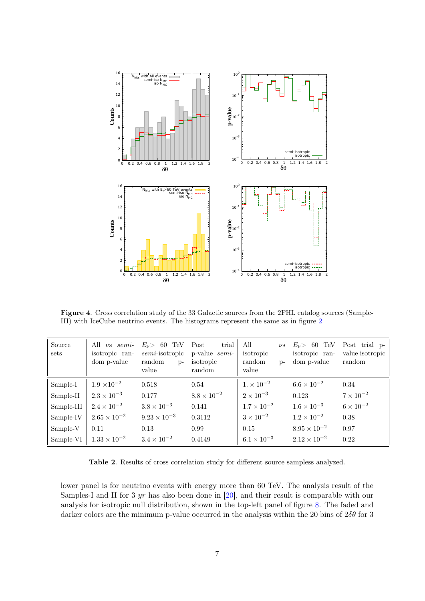

<span id="page-7-0"></span>Figure 4. Cross correlation study of the 33 Galactic sources from the 2FHL catalog sources (Sample-III) with IceCube neutrino events. The histograms represent the same as in figure [2](#page-5-0)

| Source<br>sets | All $\nu s$ semi-<br>isotropic ran-<br>dom p-value | $E_{\nu}$ 60 TeV<br>$semi$ -isotropic<br>random<br>$p-$<br>value | trial  <br>Post<br>p-value semi-<br>isotropic<br>random | All<br>isotropic<br>random<br>$D$ -<br>value | $\nu s \mid E_\nu > 60$ TeV<br>isotropic ran-<br>dom p-value | Post trial p-<br>value isotropic<br>random |
|----------------|----------------------------------------------------|------------------------------------------------------------------|---------------------------------------------------------|----------------------------------------------|--------------------------------------------------------------|--------------------------------------------|
| Sample-I       | $1.9 \times 10^{-2}$                               | 0.518                                                            | 0.54                                                    | $1. \times 10^{-2}$                          | $6.6 \times 10^{-2}$                                         | 0.34                                       |
| Sample-II      | $2.3 \times 10^{-3}$                               | 0.177                                                            | $8.8 \times 10^{-2}$                                    | $2 \times 10^{-3}$                           | 0.123                                                        | $7 \times 10^{-2}$                         |
| Sample-III     | $2.4 \times 10^{-2}$                               | $3.8 \times 10^{-3}$                                             | 0.141                                                   | $1.7 \times 10^{-2}$                         | $1.6 \times 10^{-3}$                                         | $6 \times 10^{-2}$                         |
| Sample-IV      | $2.65 \times 10^{-2}$                              | $9.23 \times 10^{-3}$                                            | 0.3112                                                  | $3 \times 10^{-2}$                           | $1.2 \times 10^{-2}$                                         | 0.38                                       |
| Sample-V       | 0.11                                               | 0.13                                                             | 0.99                                                    | 0.15                                         | $8.95 \times 10^{-2}$                                        | 0.97                                       |
| Sample-VI      | $\parallel 1.33 \times 10^{-2}$                    | $3.4 \times 10^{-2}$                                             | 0.4149                                                  | $6.1 \times 10^{-3}$                         | $2.12 \times 10^{-2}$                                        | 0.22                                       |

<span id="page-7-1"></span>Table 2. Results of cross correlation study for different source sampless analyzed.

lower panel is for neutrino events with energy more than 60 TeV. The analysis result of the Samples-I and II for 3 yr has also been done in [\[20\]](#page-13-7), and their result is comparable with our analysis for isotropic null distribution, shown in the top-left panel of figure [8.](#page-16-0) The faded and darker colors are the minimum p-value occurred in the analysis within the 20 bins of  $2\delta\theta$  for 3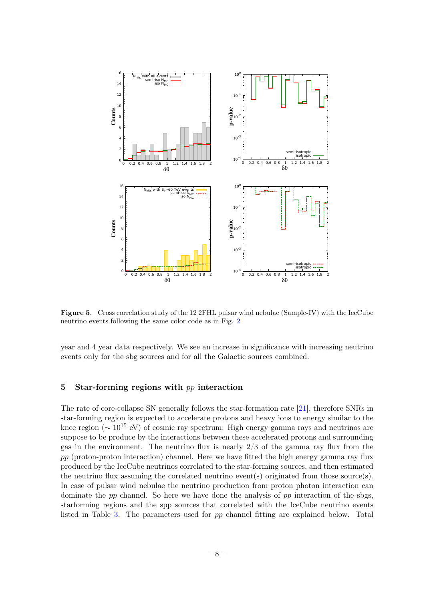

<span id="page-8-1"></span>Figure 5. Cross correlation study of the 12 2FHL pulsar wind nebulae (Sample-IV) with the IceCube neutrino events following the same color code as in Fig. [2](#page-5-0)

year and 4 year data respectively. We see an increase in significance with increasing neutrino events only for the sbg sources and for all the Galactic sources combined.

## <span id="page-8-0"></span>5 Star-forming regions with  $pp$  interaction

The rate of core-collapse SN generally follows the star-formation rate [\[21\]](#page-13-24), therefore SNRs in star-forming region is expected to accelerate protons and heavy ions to energy similar to the knee region ( $\sim 10^{15}$  eV) of cosmic ray spectrum. High energy gamma rays and neutrinos are suppose to be produce by the interactions between these accelerated protons and surrounding gas in the environment. The neutrino flux is nearly  $2/3$  of the gamma ray flux from the  $pp$  (proton-proton interaction) channel. Here we have fitted the high energy gamma ray flux produced by the IceCube neutrinos correlated to the star-forming sources, and then estimated the neutrino flux assuming the correlated neutrino event(s) originated from those source(s). In case of pulsar wind nebulae the neutrino production from proton photon interaction can dominate the  $pp$  channel. So here we have done the analysis of  $pp$  interaction of the sbgs, starforming regions and the spp sources that correlated with the IceCube neutrino events listed in Table [3.](#page-21-0) The parameters used for pp channel fitting are explained below. Total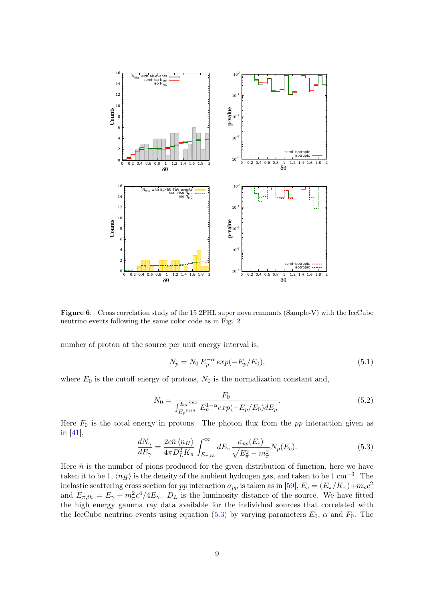

Figure 6. Cross correlation study of the 15 2FHL super nova remnants (Sample-V) with the IceCube neutrino events following the same color code as in Fig. [2](#page-5-0)

number of proton at the source per unit energy interval is,

<span id="page-9-0"></span>
$$
N_p = N_0 E_p^{-\alpha} \exp(-E_p/E_0), \tag{5.1}
$$

where  $E_0$  is the cutoff energy of protons,  $N_0$  is the normalization constant and,

$$
N_0 = \frac{F_0}{\int_{E_p^{min}}^{E_p^{max}} E_p^{1-\alpha} exp(-E_p/E_0) dE_p}.
$$
\n(5.2)

Here  $F_0$  is the total energy in protons. The photon flux from the  $pp$  interaction given as in [\[41\]](#page-14-3),

<span id="page-9-1"></span>
$$
\frac{dN_{\gamma}}{dE_{\gamma}} = \frac{2c\tilde{n}\langle n_H \rangle}{4\pi D_L^2 K_{\pi}} \int_{E_{\pi,th}}^{\infty} dE_{\pi} \frac{\sigma_{pp}(E_c)}{\sqrt{E_{\pi}^2 - m_{\pi}^2}} N_p(E_c). \tag{5.3}
$$

Here  $\tilde{n}$  is the number of pions produced for the given distribution of function, here we have taken it to be 1,  $\langle n_H \rangle$  is the density of the ambient hydrogen gas, and taken to be 1 cm<sup>-3</sup>. The inelastic scattering cross section for pp interaction  $\sigma_{pp}$  is taken as in [\[59\]](#page-14-4),  $E_c = (E_{\pi}/K_{\pi}) + m_p c^2$ and  $E_{\pi,th} = E_{\gamma} + m_{\pi}^2 c^4 / 4E_{\gamma}$ .  $D_L$  is the luminosity distance of the source. We have fitted the high energy gamma ray data available for the individual sources that correlated with the IceCube neutrino events using equation [\(5.3\)](#page-9-1) by varying parameters  $E_0$ ,  $\alpha$  and  $F_0$ . The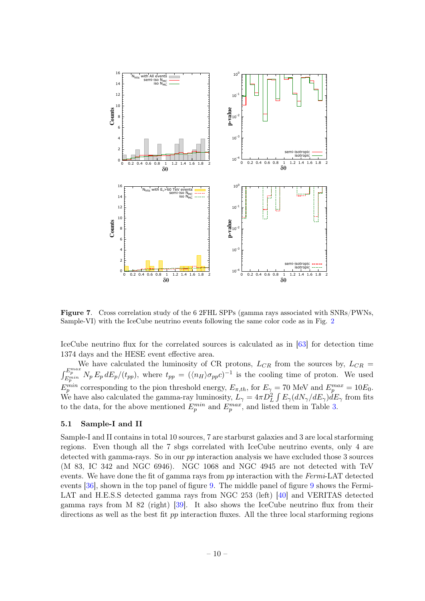

<span id="page-10-1"></span>Figure 7. Cross correlation study of the 6 2FHL SPPs (gamma rays associated with SNRs/PWNs, Sample-VI) with the IceCube neutrino events following the same color code as in Fig. [2](#page-5-0)

IceCube neutrino flux for the correlated sources is calculated as in [\[63\]](#page-14-5) for detection time 1374 days and the HESE event effective area.

We have calculated the luminosity of CR protons,  $L_{CR}$  from the sources by,  $L_{CR}$  =  $\int_{E_p^{min}}^{E_p^{max}} N_p E_p dE_p/(t_{pp})$ , where  $t_{pp} = (\langle n_H \rangle \sigma_{pp} c)^{-1}$  is the cooling time of proton. We used  $E_p^{min}$  corresponding to the pion threshold energy,  $E_{\pi,th}$ , for  $E_\gamma = 70$  MeV and  $E_p^{max} = 10E_0$ . We have also calculated the gamma-ray luminosity,  $\dot{L}_\gamma = 4\pi D_L^2 \int E_\gamma (dN_\gamma/dE_\gamma) dE_\gamma$  from fits to the data, for the above mentioned  $E_p^{min}$  and  $E_p^{max}$ , and listed them in Table [3.](#page-21-0)

### <span id="page-10-0"></span>5.1 Sample-I and II

Sample-I and II contains in total 10 sources, 7 are starburst galaxies and 3 are local starforming regions. Even though all the 7 sbgs correlated with IceCube neutrino events, only 4 are detected with gamma-rays. So in our pp interaction analysis we have excluded those 3 sources (M 83, IC 342 and NGC 6946). NGC 1068 and NGC 4945 are not detected with TeV events. We have done the fit of gamma rays from pp interaction with the Fermi-LAT detected events [\[36\]](#page-13-22), shown in the top panel of figure [9.](#page-17-0) The middle panel of figure [9](#page-17-0) shows the Fermi-LAT and H.E.S.S detected gamma rays from NGC 253 (left) [\[40\]](#page-14-1) and VERITAS detected gamma rays from M 82 (right) [\[39\]](#page-14-0). It also shows the IceCube neutrino flux from their directions as well as the best fit pp interaction fluxes. All the three local starforming regions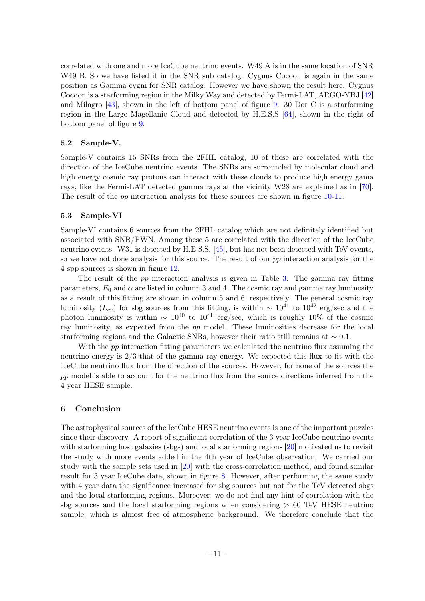correlated with one and more IceCube neutrino events. W49 A is in the same location of SNR W49 B. So we have listed it in the SNR sub catalog. Cygnus Cocoon is again in the same position as Gamma cygni for SNR catalog. However we have shown the result here. Cygnus Cocoon is a starforming region in the Milky Way and detected by Fermi-LAT, ARGO-YBJ [\[42\]](#page-14-6) and Milagro [\[43\]](#page-14-7), shown in the left of bottom panel of figure [9.](#page-17-0) 30 Dor C is a starforming region in the Large Magellanic Cloud and detected by H.E.S.S [\[64\]](#page-14-8), shown in the right of bottom panel of figure [9.](#page-17-0)

## <span id="page-11-0"></span>5.2 Sample-V.

Sample-V contains 15 SNRs from the 2FHL catalog, 10 of these are correlated with the direction of the IceCube neutrino events. The SNRs are surrounded by molecular cloud and high energy cosmic ray protons can interact with these clouds to produce high energy gama rays, like the Fermi-LAT detected gamma rays at the vicinity W28 are explained as in [\[70\]](#page-15-0). The result of the *pp* interaction analysis for these sources are shown in figure [10-](#page-18-0)[11.](#page-19-0)

#### <span id="page-11-1"></span>5.3 Sample-VI

Sample-VI contains 6 sources from the 2FHL catalog which are not definitely identified but associated with SNR/PWN. Among these 5 are correlated with the direction of the IceCube neutrino events. W31 is detected by H.E.S.S. [\[45\]](#page-14-9), but has not been detected with TeV events, so we have not done analysis for this source. The result of our pp interaction analysis for the 4 spp sources is shown in figure [12.](#page-20-0)

The result of the pp interaction analysis is given in Table [3.](#page-21-0) The gamma ray fitting parameters,  $E_0$  and  $\alpha$  are listed in column 3 and 4. The cosmic ray and gamma ray luminosity as a result of this fitting are shown in column 5 and 6, respectively. The general cosmic ray luminosity ( $L_{cr}$ ) for sbg sources from this fitting, is within ~ 10<sup>41</sup> to 10<sup>42</sup> erg/sec and the photon luminosity is within  $\sim 10^{40}$  to  $10^{41}$  erg/sec, which is roughly 10% of the cosmic ray luminosity, as expected from the pp model. These luminosities decrease for the local starforming regions and the Galactic SNRs, however their ratio still remains at  $\sim 0.1$ .

With the pp interaction fitting parameters we calculated the neutrino flux assuming the neutrino energy is 2/3 that of the gamma ray energy. We expected this flux to fit with the IceCube neutrino flux from the direction of the sources. However, for none of the sources the pp model is able to account for the neutrino flux from the source directions inferred from the 4 year HESE sample.

## <span id="page-11-2"></span>6 Conclusion

The astrophysical sources of the IceCube HESE neutrino events is one of the important puzzles since their discovery. A report of significant correlation of the 3 year IceCube neutrino events with starforming host galaxies (sbgs) and local starforming regions [\[20\]](#page-13-7) motivated us to revisit the study with more events added in the 4th year of IceCube observation. We carried our study with the sample sets used in [\[20\]](#page-13-7) with the cross-correlation method, and found similar result for 3 year IceCube data, shown in figure [8.](#page-16-0) However, after performing the same study with 4 year data the significance increased for sbg sources but not for the TeV detected sbgs and the local starforming regions. Moreover, we do not find any hint of correlation with the sbg sources and the local starforming regions when considering  $> 60$  TeV HESE neutrino sample, which is almost free of atmospheric background. We therefore conclude that the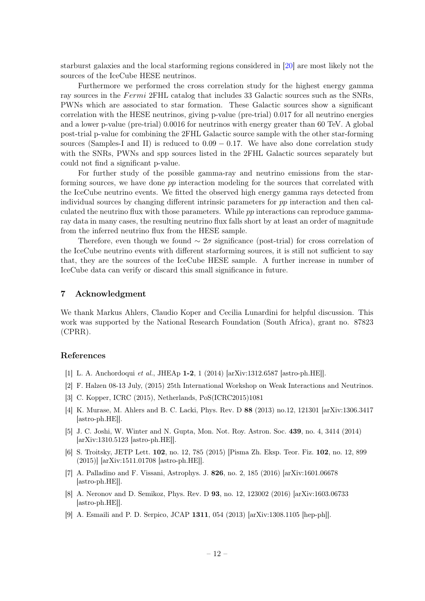starburst galaxies and the local starforming regions considered in [\[20\]](#page-13-7) are most likely not the sources of the IceCube HESE neutrinos.

Furthermore we performed the cross correlation study for the highest energy gamma ray sources in the Fermi 2FHL catalog that includes 33 Galactic sources such as the SNRs, PWNs which are associated to star formation. These Galactic sources show a significant correlation with the HESE neutrinos, giving p-value (pre-trial) 0.017 for all neutrino energies and a lower p-value (pre-trial) 0.0016 for neutrinos with energy greater than 60 TeV. A global post-trial p-value for combining the 2FHL Galactic source sample with the other star-forming sources (Samples-I and II) is reduced to  $0.09 - 0.17$ . We have also done correlation study with the SNRs, PWNs and spp sources listed in the 2FHL Galactic sources separately but could not find a significant p-value.

For further study of the possible gamma-ray and neutrino emissions from the starforming sources, we have done pp interaction modeling for the sources that correlated with the IceCube neutrino events. We fitted the observed high energy gamma rays detected from individual sources by changing different intrinsic parameters for pp interaction and then calculated the neutrino flux with those parameters. While pp interactions can reproduce gammaray data in many cases, the resulting neutrino flux falls short by at least an order of magnitude from the inferred neutrino flux from the HESE sample.

Therefore, even though we found  $\sim 2\sigma$  significance (post-trial) for cross correlation of the IceCube neutrino events with different starforming sources, it is still not sufficient to say that, they are the sources of the IceCube HESE sample. A further increase in number of IceCube data can verify or discard this small significance in future.

## <span id="page-12-0"></span>7 Acknowledgment

We thank Markus Ahlers, Claudio Koper and Cecilia Lunardini for helpful discussion. This work was supported by the National Research Foundation (South Africa), grant no. 87823 (CPRR).

#### References

- <span id="page-12-1"></span>[1] L. A. Anchordoqui et al., JHEAp 1-2, 1 (2014) [arXiv:1312.6587 [astro-ph.HE]].
- <span id="page-12-2"></span>[2] F. Halzen 08-13 July, (2015) 25th International Workshop on Weak Interactions and Neutrinos.
- <span id="page-12-3"></span>[3] C. Kopper, ICRC (2015), Netherlands, PoS(ICRC2015)1081
- <span id="page-12-4"></span>[4] K. Murase, M. Ahlers and B. C. Lacki, Phys. Rev. D 88 (2013) no.12, 121301 [arXiv:1306.3417 [astro-ph.HE]].
- [5] J. C. Joshi, W. Winter and N. Gupta, Mon. Not. Roy. Astron. Soc. 439, no. 4, 3414 (2014) [arXiv:1310.5123 [astro-ph.HE]].
- [6] S. Troitsky, JETP Lett. 102, no. 12, 785 (2015) [Pisma Zh. Eksp. Teor. Fiz. 102, no. 12, 899 (2015)] [arXiv:1511.01708 [astro-ph.HE]].
- [7] A. Palladino and F. Vissani, Astrophys. J. 826, no. 2, 185 (2016) [arXiv:1601.06678 [astro-ph.HE]].
- <span id="page-12-5"></span>[8] A. Neronov and D. Semikoz, Phys. Rev. D 93, no. 12, 123002 (2016) [arXiv:1603.06733 [astro-ph.HE]].
- <span id="page-12-6"></span>[9] A. Esmaili and P. D. Serpico, JCAP 1311, 054 (2013) [arXiv:1308.1105 [hep-ph]].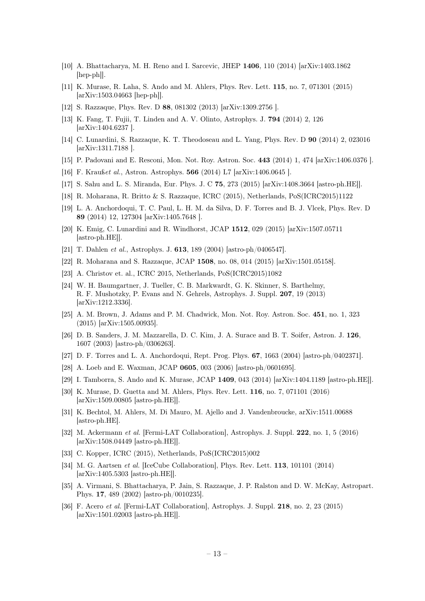- [10] A. Bhattacharya, M. H. Reno and I. Sarcevic, JHEP 1406, 110 (2014) [arXiv:1403.1862 [hep-ph]].
- <span id="page-13-0"></span>[11] K. Murase, R. Laha, S. Ando and M. Ahlers, Phys. Rev. Lett. 115, no. 7, 071301 (2015) [arXiv:1503.04663 [hep-ph]].
- <span id="page-13-1"></span>[12] S. Razzaque, Phys. Rev. D 88, 081302 (2013) [arXiv:1309.2756 ].
- <span id="page-13-2"></span>[13] K. Fang, T. Fujii, T. Linden and A. V. Olinto, Astrophys. J. 794 (2014) 2, 126 [arXiv:1404.6237 ].
- <span id="page-13-3"></span>[14] C. Lunardini, S. Razzaque, K. T. Theodoseau and L. Yang, Phys. Rev. D 90 (2014) 2, 023016 [arXiv:1311.7188 ].
- <span id="page-13-4"></span>[15] P. Padovani and E. Resconi, Mon. Not. Roy. Astron. Soc. 443 (2014) 1, 474 [arXiv:1406.0376 ].
- [16] F. Kraußet al., Astron. Astrophys. 566 (2014) L7 [arXiv:1406.0645 ].
- <span id="page-13-11"></span>[17] S. Sahu and L. S. Miranda, Eur. Phys. J. C 75, 273 (2015) [arXiv:1408.3664 [astro-ph.HE]].
- <span id="page-13-5"></span>[18] R. Moharana, R. Britto & S. Razzaque, ICRC (2015), Netherlands, PoS(ICRC2015)1122
- <span id="page-13-6"></span>[19] L. A. Anchordoqui, T. C. Paul, L. H. M. da Silva, D. F. Torres and B. J. Vlcek, Phys. Rev. D 89 (2014) 12, 127304 [arXiv:1405.7648 ].
- <span id="page-13-7"></span>[20] K. Emig, C. Lunardini and R. Windhorst, JCAP 1512, 029 (2015) [arXiv:1507.05711 [astro-ph.HE]].
- <span id="page-13-24"></span>[21] T. Dahlen et al., Astrophys. J. 613, 189 (2004) [astro-ph/0406547].
- <span id="page-13-8"></span>[22] R. Moharana and S. Razzaque, JCAP 1508, no. 08, 014 (2015) [arXiv:1501.05158].
- <span id="page-13-9"></span>[23] A. Christov et. al., ICRC 2015, Netherlands, PoS(ICRC2015)1082
- <span id="page-13-10"></span>[24] W. H. Baumgartner, J. Tueller, C. B. Markwardt, G. K. Skinner, S. Barthelmy, R. F. Mushotzky, P. Evans and N. Gehrels, Astrophys. J. Suppl. 207, 19 (2013) [arXiv:1212.3336].
- <span id="page-13-12"></span>[25] A. M. Brown, J. Adams and P. M. Chadwick, Mon. Not. Roy. Astron. Soc. 451, no. 1, 323 (2015) [arXiv:1505.00935].
- <span id="page-13-13"></span>[26] D. B. Sanders, J. M. Mazzarella, D. C. Kim, J. A. Surace and B. T. Soifer, Astron. J. 126, 1607 (2003) [astro-ph/0306263].
- <span id="page-13-14"></span>[27] D. F. Torres and L. A. Anchordoqui, Rept. Prog. Phys. 67, 1663 (2004) [astro-ph/0402371].
- <span id="page-13-15"></span>[28] A. Loeb and E. Waxman, JCAP 0605, 003 (2006) [astro-ph/0601695].
- <span id="page-13-16"></span>[29] I. Tamborra, S. Ando and K. Murase, JCAP 1409, 043 (2014) [arXiv:1404.1189 [astro-ph.HE]].
- <span id="page-13-17"></span>[30] K. Murase, D. Guetta and M. Ahlers, Phys. Rev. Lett. 116, no. 7, 071101 (2016) [arXiv:1509.00805 [astro-ph.HE]].
- <span id="page-13-18"></span>[31] K. Bechtol, M. Ahlers, M. Di Mauro, M. Ajello and J. Vandenbroucke, arXiv:1511.00688 [astro-ph.HE].
- <span id="page-13-19"></span>[32] M. Ackermann et al. [Fermi-LAT Collaboration], Astrophys. J. Suppl. 222, no. 1, 5 (2016) [arXiv:1508.04449 [astro-ph.HE]].
- <span id="page-13-20"></span>[33] C. Kopper, ICRC (2015), Netherlands, PoS(ICRC2015)002
- <span id="page-13-21"></span>[34] M. G. Aartsen et al. [IceCube Collaboration], Phys. Rev. Lett. 113, 101101 (2014) [arXiv:1405.5303 [astro-ph.HE]].
- <span id="page-13-23"></span>[35] A. Virmani, S. Bhattacharya, P. Jain, S. Razzaque, J. P. Ralston and D. W. McKay, Astropart. Phys. 17, 489 (2002) [astro-ph/0010235].
- <span id="page-13-22"></span>[36] F. Acero et al. [Fermi-LAT Collaboration], Astrophys. J. Suppl. 218, no. 2, 23 (2015) [arXiv:1501.02003 [astro-ph.HE]].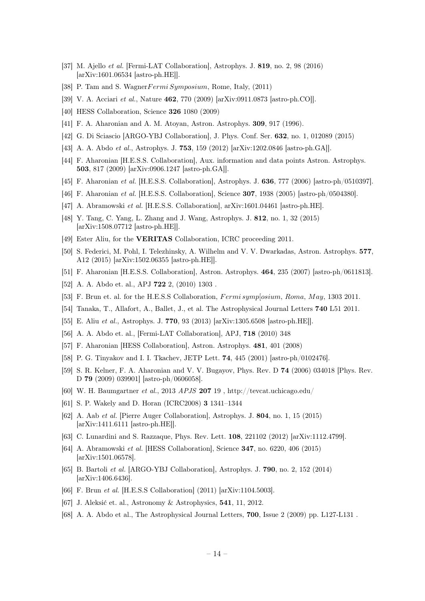- <span id="page-14-11"></span>[37] M. Ajello et al. [Fermi-LAT Collaboration], Astrophys. J. 819, no. 2, 98 (2016) [arXiv:1601.06534 [astro-ph.HE]].
- <span id="page-14-22"></span>[38] P. Tam and S. Wagner Fermi Symposium, Rome, Italy, (2011)
- <span id="page-14-0"></span>[39] V. A. Acciari et al., Nature 462, 770 (2009) [arXiv:0911.0873 [astro-ph.CO]].
- <span id="page-14-1"></span>[40] HESS Collaboration, Science 326 1080 (2009)
- <span id="page-14-3"></span>[41] F. A. Aharonian and A. M. Atoyan, Astron. Astrophys. 309, 917 (1996).
- <span id="page-14-6"></span>[42] G. Di Sciascio [ARGO-YBJ Collaboration], J. Phys. Conf. Ser. 632, no. 1, 012089 (2015)
- <span id="page-14-7"></span>[43] A. A. Abdo et al., Astrophys. J. 753, 159 (2012) [arXiv:1202.0846 [astro-ph.GA]].
- <span id="page-14-23"></span>[44] F. Aharonian [H.E.S.S. Collaboration], Aux. information and data points Astron. Astrophys. 503, 817 (2009) [arXiv:0906.1247 [astro-ph.GA]].
- <span id="page-14-9"></span>[45] F. Aharonian et al. [H.E.S.S. Collaboration], Astrophys. J. 636, 777 (2006) [astro-ph/0510397].
- <span id="page-14-24"></span>[46] F. Aharonian et al. [H.E.S.S. Collaboration], Science 307, 1938 (2005) [astro-ph/0504380].
- <span id="page-14-12"></span>[47] A. Abramowski et al. [H.E.S.S. Collaboration], arXiv:1601.04461 [astro-ph.HE].
- <span id="page-14-13"></span>[48] Y. Tang, C. Yang, L. Zhang and J. Wang, Astrophys. J. 812, no. 1, 32 (2015) [arXiv:1508.07712 [astro-ph.HE]].
- <span id="page-14-25"></span>[49] Ester Aliu, for the **VERITAS** Collaboration, ICRC proceeding 2011.
- <span id="page-14-15"></span>[50] S. Federici, M. Pohl, I. Telezhinsky, A. Wilhelm and V. V. Dwarkadas, Astron. Astrophys. 577, A12 (2015) [arXiv:1502.06355 [astro-ph.HE]].
- <span id="page-14-16"></span>[51] F. Aharonian [H.E.S.S. Collaboration], Astron. Astrophys. 464, 235 (2007) [astro-ph/0611813].
- [52] A. A. Abdo et. al., APJ **722** 2, (2010) 1303.
- [53] F. Brun et. al. for the H.E.S.S Collaboration, *Fermi symp*[osium, Roma, May, 1303 2011.
- <span id="page-14-14"></span>[54] Tanaka, T., Allafort, A., Ballet, J., et al. The Astrophysical Journal Letters 740 L51 2011.
- [55] E. Aliu et al., Astrophys. J. 770, 93 (2013) [arXiv:1305.6508 [astro-ph.HE]].
- <span id="page-14-18"></span>[56] A. A. Abdo et. al., [Fermi-LAT Collaboration], APJ, 718 (2010) 348
- <span id="page-14-17"></span>[57] F. Aharonian [HESS Collaboration], Astron. Astrophys. 481, 401 (2008)
- <span id="page-14-2"></span>[58] P. G. Tinyakov and I. I. Tkachev, JETP Lett. 74, 445 (2001) [astro-ph/0102476].
- <span id="page-14-4"></span>[59] S. R. Kelner, F. A. Aharonian and V. V. Bugayov, Phys. Rev. D 74 (2006) 034018 [Phys. Rev. D 79 (2009) 039901] [astro-ph/0606058].
- [60] W. H. Baumgartner et al., 2013 APJS 207 19, http://tevcat.uchicago.edu/
- [61] S. P. Wakely and D. Horan (ICRC2008) 3 1341–1344
- [62] A. Aab et al. [Pierre Auger Collaboration], Astrophys. J. 804, no. 1, 15 (2015) [arXiv:1411.6111 [astro-ph.HE]].
- <span id="page-14-5"></span>[63] C. Lunardini and S. Razzaque, Phys. Rev. Lett. 108, 221102 (2012) [arXiv:1112.4799].
- <span id="page-14-8"></span>[64] A. Abramowski et al. [HESS Collaboration], Science 347, no. 6220, 406 (2015) [arXiv:1501.06578].
- <span id="page-14-10"></span>[65] B. Bartoli et al. [ARGO-YBJ Collaboration], Astrophys. J. 790, no. 2, 152 (2014) [arXiv:1406.6436].
- <span id="page-14-19"></span>[66] F. Brun et al. [H.E.S.S Collaboration] (2011) [arXiv:1104.5003].
- <span id="page-14-20"></span>[67] J. Aleksić et. al., Astronomy & Astrophysics, 541, 11, 2012.
- <span id="page-14-21"></span>[68] A. A. Abdo et al., The Astrophysical Journal Letters, 700, Issue 2 (2009) pp. L127-L131 .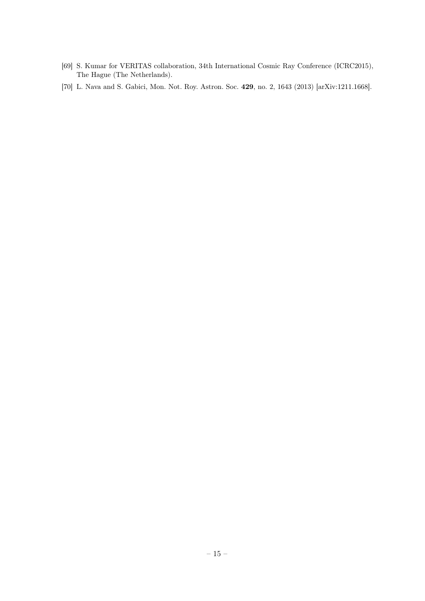- <span id="page-15-1"></span>[69] S. Kumar for VERITAS collaboration, 34th International Cosmic Ray Conference (ICRC2015), The Hague (The Netherlands).
- <span id="page-15-0"></span>[70] L. Nava and S. Gabici, Mon. Not. Roy. Astron. Soc. 429, no. 2, 1643 (2013) [arXiv:1211.1668].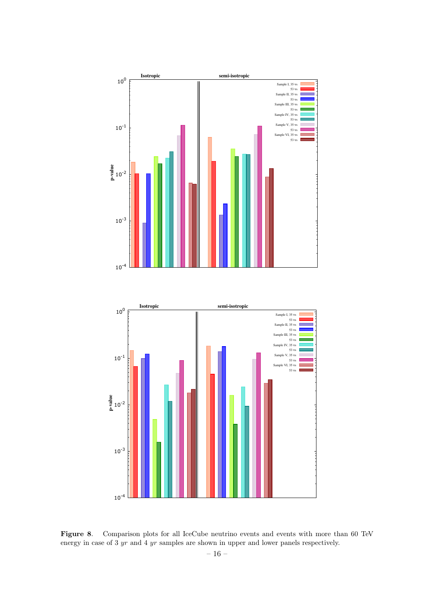

<span id="page-16-0"></span>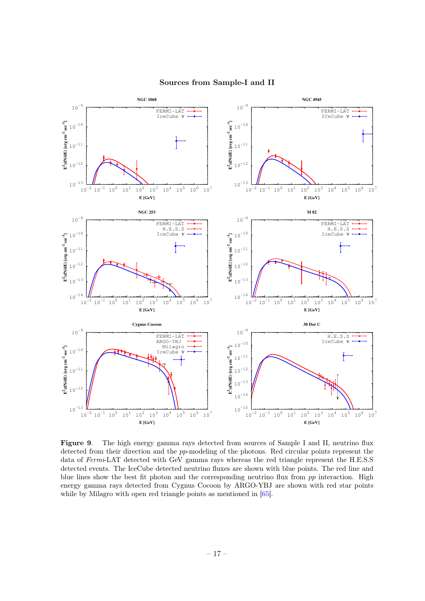

## Sources from Sample-I and II

<span id="page-17-0"></span>Figure 9. The high energy gamma rays detected from sources of Sample I and II, neutrino flux detected from their direction and the pp-modeling of the photons. Red circular points represent the data of Fermi-LAT detected with GeV gamma rays whereas the red triangle represent the H.E.S.S detected events. The IceCube detected neutrino fluxes are shown with blue points. The red line and blue lines show the best fit photon and the corresponding neutrino flux from  $pp$  interaction. High energy gamma rays detected from Cygnus Cocoon by ARGO-YBJ are shown with red star points while by Milagro with open red triangle points as mentioned in  $[65]$ .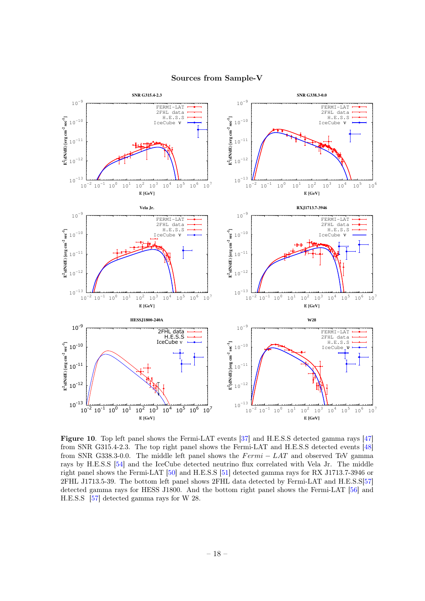![](_page_18_Figure_0.jpeg)

#### Sources from Sample-V

<span id="page-18-0"></span>Figure 10. Top left panel shows the Fermi-LAT events [\[37\]](#page-14-11) and H.E.S.S detected gamma rays [\[47\]](#page-14-12) from SNR G315.4-2.3. The top right panel shows the Fermi-LAT and H.E.S.S detected events [\[48\]](#page-14-13) from SNR G338.3-0.0. The middle left panel shows the  $Fermi - LAT$  and observed TeV gamma rays by H.E.S.S [\[54\]](#page-14-14) and the IceCube detected neutrino flux correlated with Vela Jr. The middle right panel shows the Fermi-LAT [\[50\]](#page-14-15) and H.E.S.S [\[51\]](#page-14-16) detected gamma rays for RX J1713.7-3946 or 2FHL J1713.5-39. The bottom left panel shows 2FHL data detected by Fermi-LAT and H.E.S.S[\[57\]](#page-14-17) detected gamma rays for HESS J1800. And the bottom right panel shows the Fermi-LAT [\[56\]](#page-14-18) and H.E.S.S [\[57\]](#page-14-17) detected gamma rays for W 28.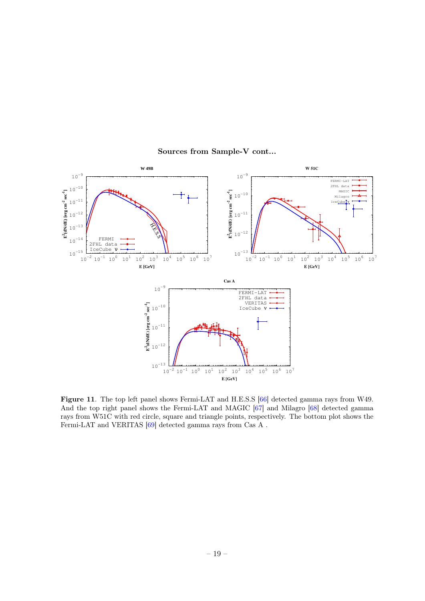![](_page_19_Figure_0.jpeg)

Sources from Sample-V cont...

<span id="page-19-0"></span>Figure 11. The top left panel shows Fermi-LAT and H.E.S.S [\[66\]](#page-14-19) detected gamma rays from W49. And the top right panel shows the Fermi-LAT and MAGIC [\[67\]](#page-14-20) and Milagro [\[68\]](#page-14-21) detected gamma rays from W51C with red circle, square and triangle points, respectively. The bottom plot shows the Fermi-LAT and VERITAS  $[69]$  detected gamma rays from Cas A .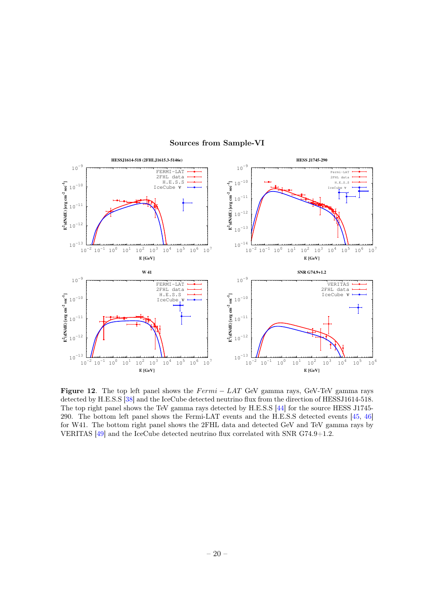![](_page_20_Figure_0.jpeg)

## Sources from Sample-VI

<span id="page-20-0"></span>Figure 12. The top left panel shows the  $Fermi - LAT$  GeV gamma rays, GeV-TeV gamma rays detected by H.E.S.S [\[38\]](#page-14-22) and the IceCube detected neutrino flux from the direction of HESSJ1614-518. The top right panel shows the TeV gamma rays detected by H.E.S.S [\[44\]](#page-14-23) for the source HESS J1745- 290. The bottom left panel shows the Fermi-LAT events and the H.E.S.S detected events [\[45,](#page-14-9) [46\]](#page-14-24) for W41. The bottom right panel shows the 2FHL data and detected GeV and TeV gamma rays by VERITAS [\[49\]](#page-14-25) and the IceCube detected neutrino flux correlated with SNR G74.9+1.2.